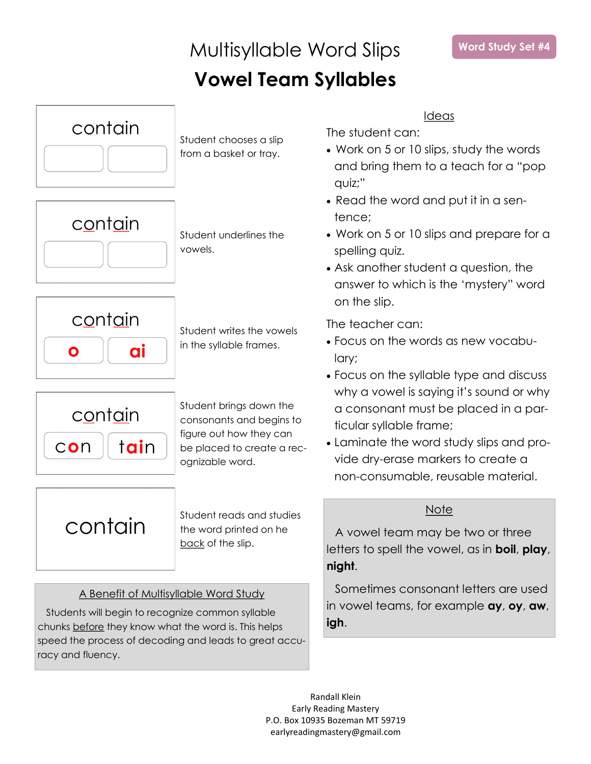### Multisyllable Word Slips **Vowel Team Syllables**



### Ideas

The student can:

- Work on 5 or 10 slips, study the words and bring them to a teach for a "pop quiz;"
- Read the word and put it in a sentence;
- Work on 5 or 10 slips and prepare for a spelling quiz.
- Ask another student a question, the answer to which is the 'mystery" word on the slip.

The teacher can:

- Focus on the words as new vocabulary;
- Focus on the syllable type and discuss why a vowel is saying it's sound or why a consonant must be placed in a particular syllable frame;
- Laminate the word study slips and provide dry-erase markers to create a non-consumable, reusable material.

### **Note**

A vowel team may be two or three letters to spell the vowel, as in **boil**, **play**, **night**.

Sometimes consonant letters are used in vowel teams, for example **ay**, **oy**, **aw**, **igh**.

Randall Klein Early Reading Mastery P.O. Box 10935 Bozeman MT 59719 earlyreadingmastery@gmail.com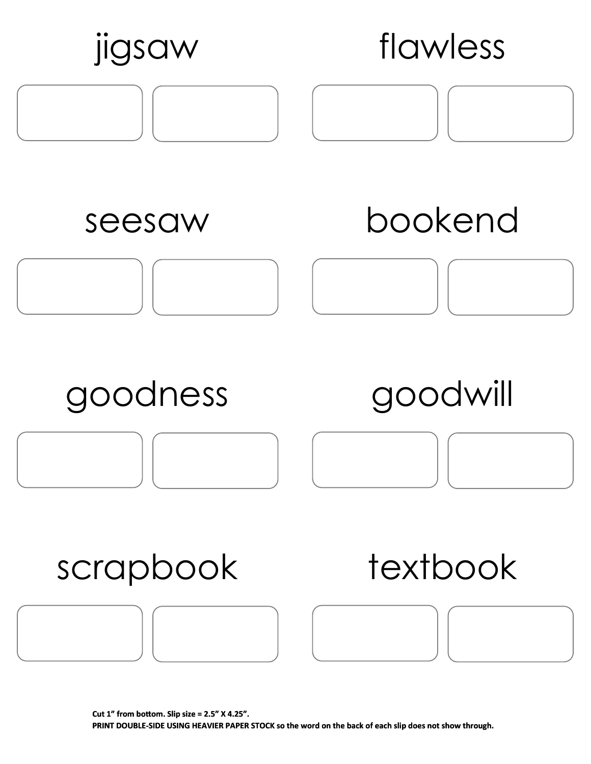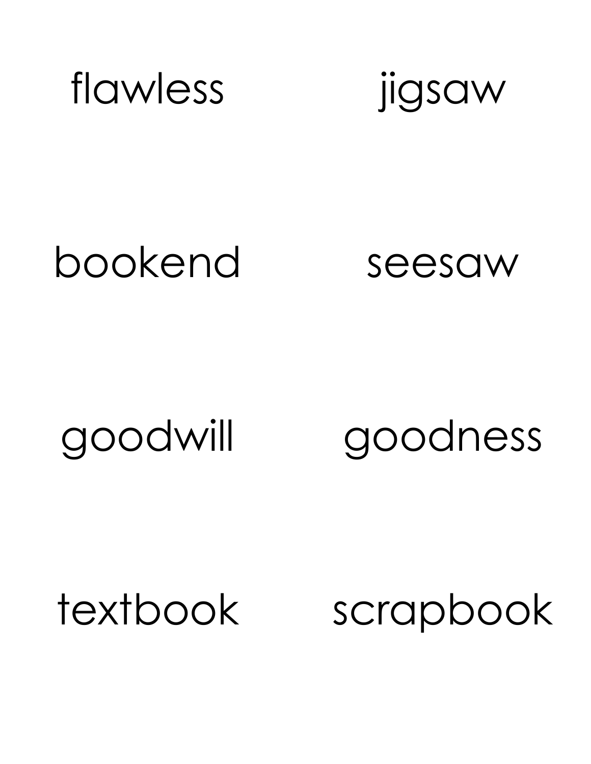

### bookend seesaw

goodwill goodness

textbook scrapbook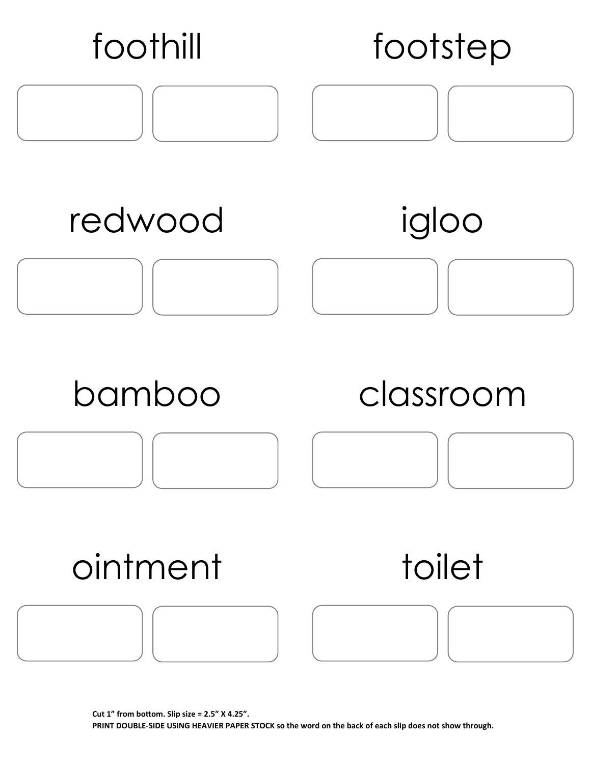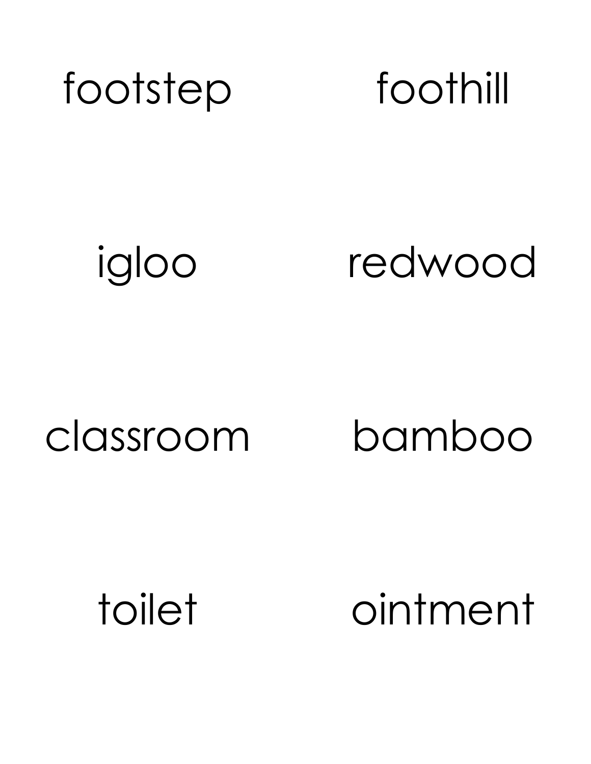

### igloo redwood

### classroom bamboo

toilet ointment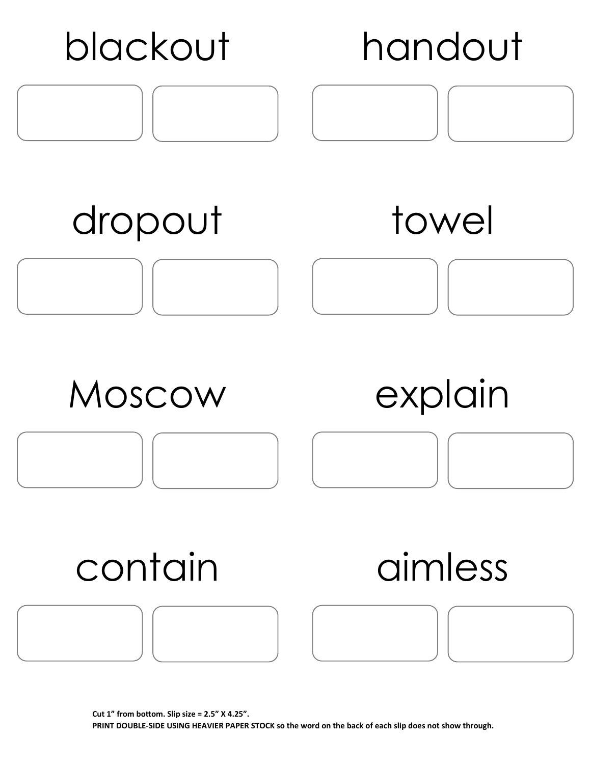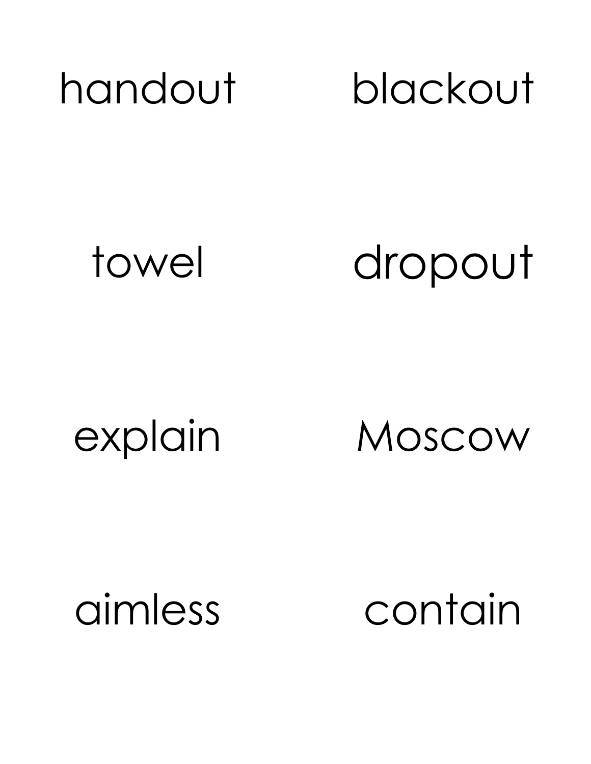

towel dropout

explain Moscow

aimless contain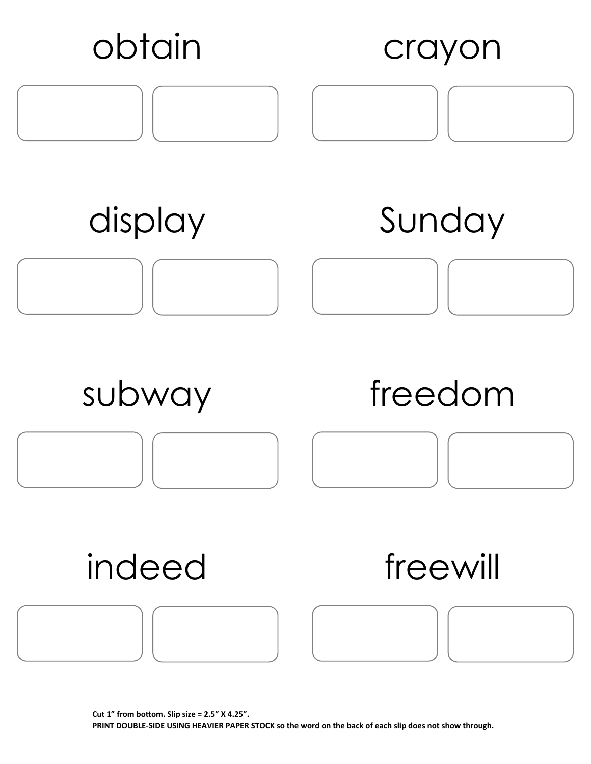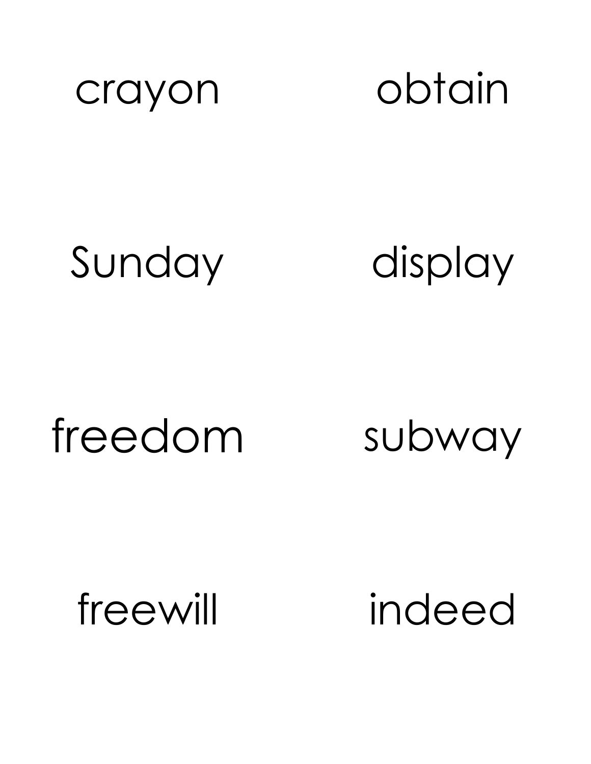

crayon obtain

## Sunday display

# freedom subway

freewill indeed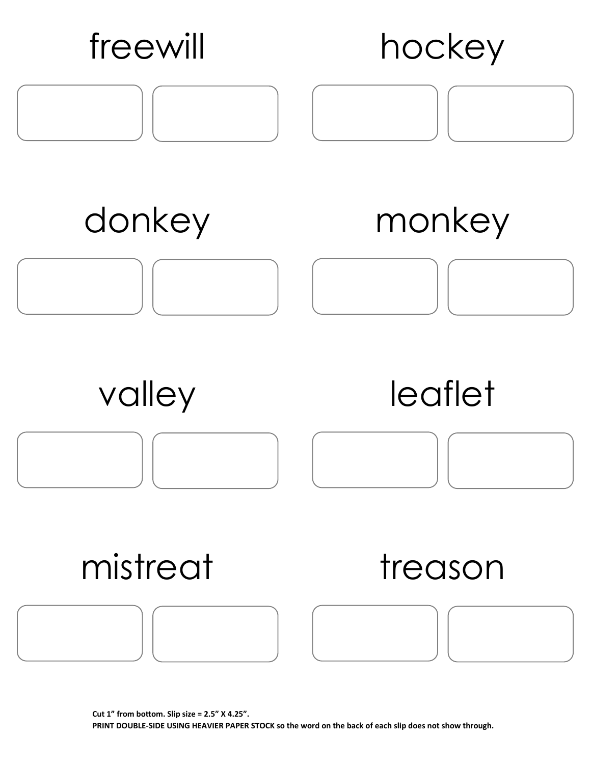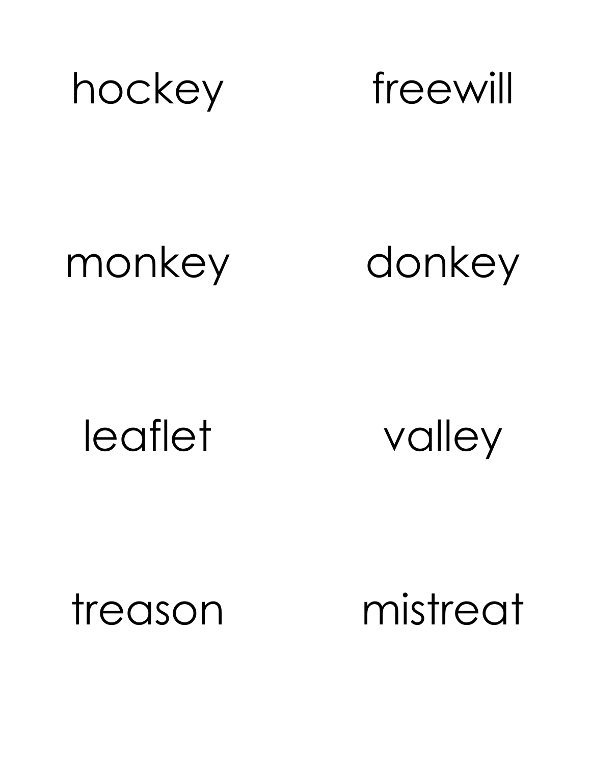

### monkey donkey

### leaflet valley

treason mistreat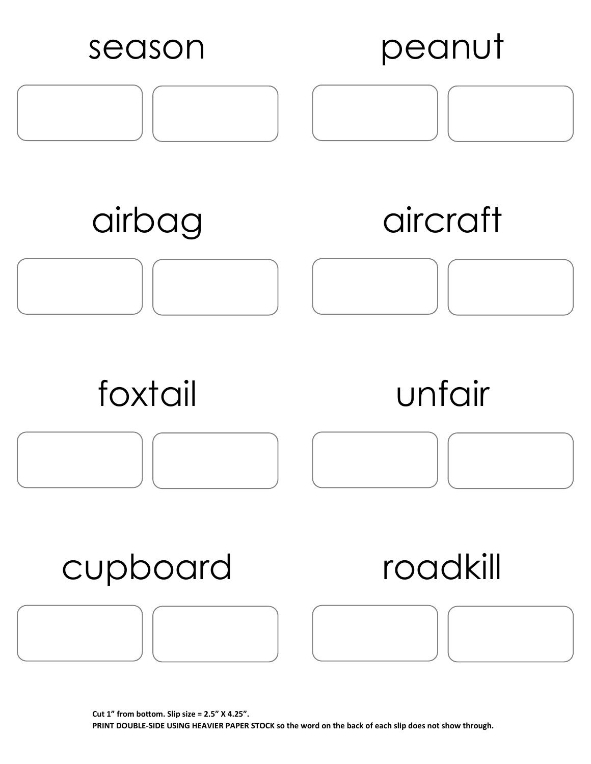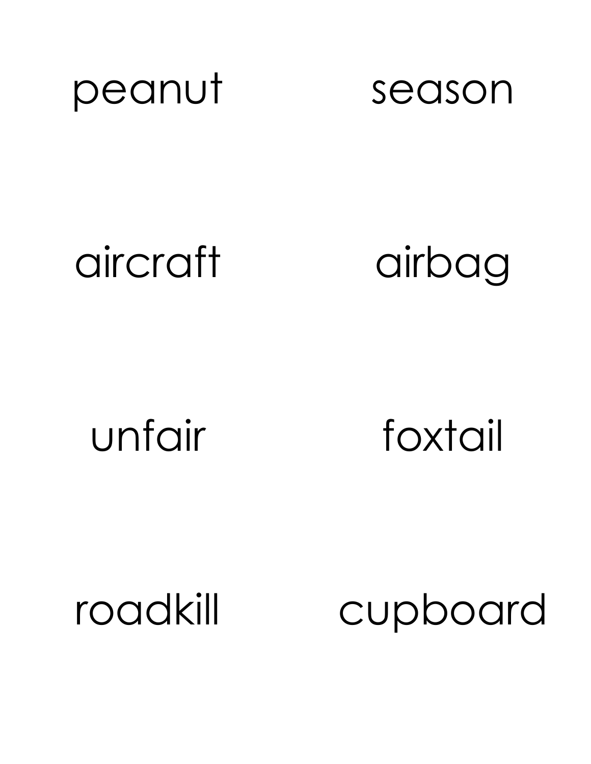

## aircraft airbag

unfair foxtail

roadkill cupboard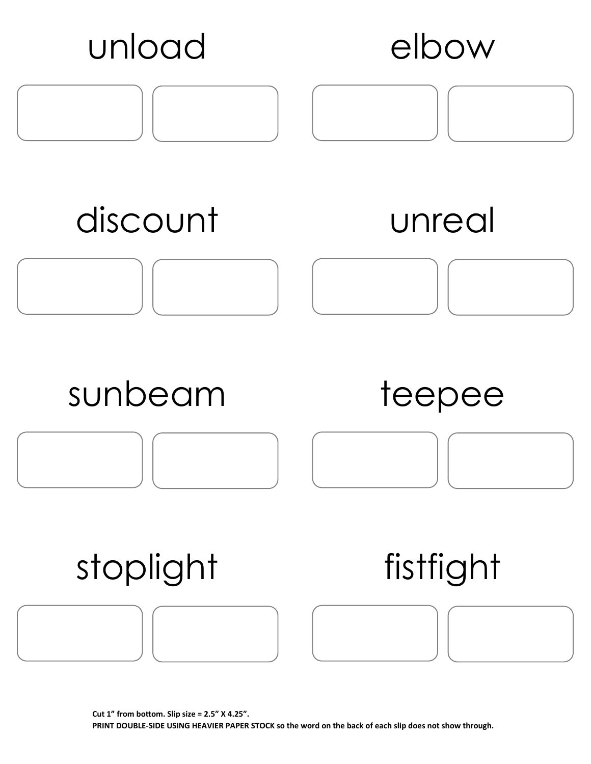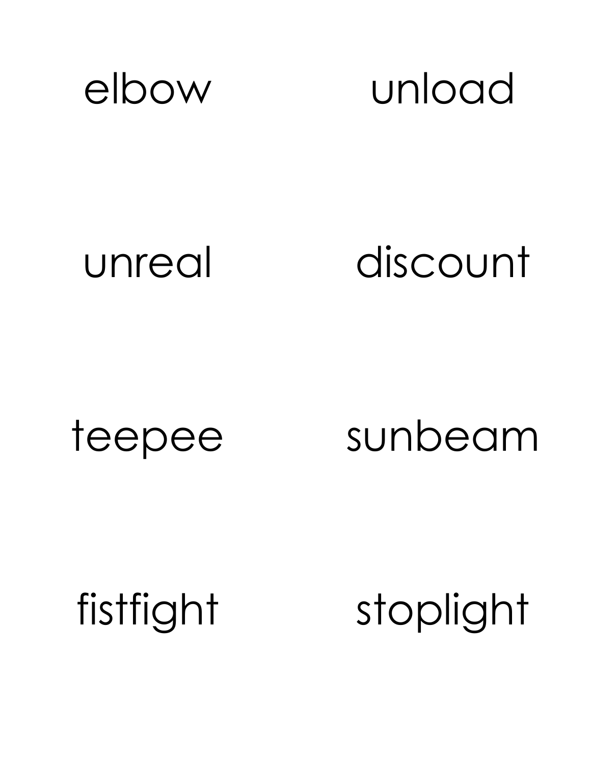

### unreal discount

teepee sunbeam

fistfight stoplight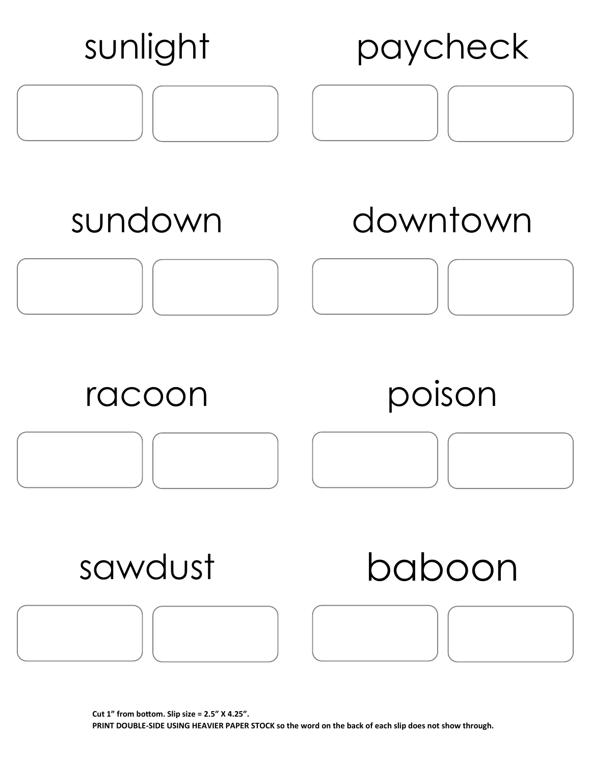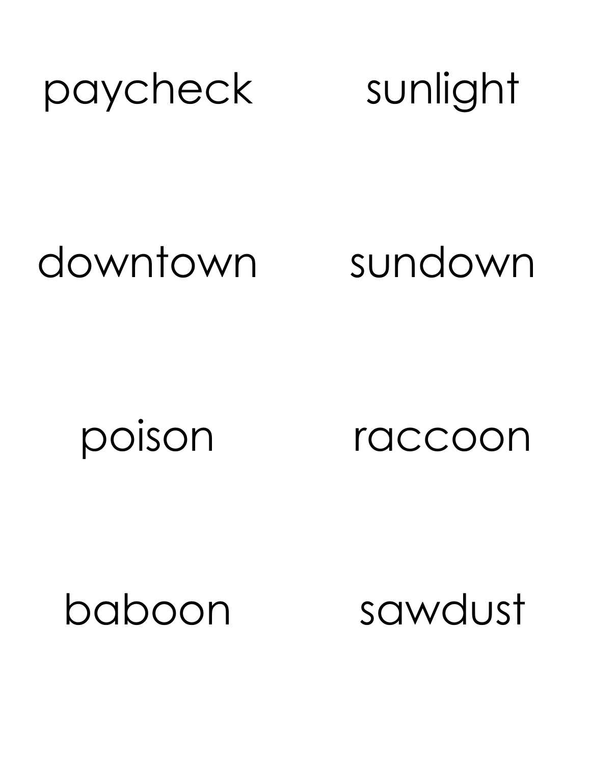

### downtown sundown

poison raccoon

baboon sawdust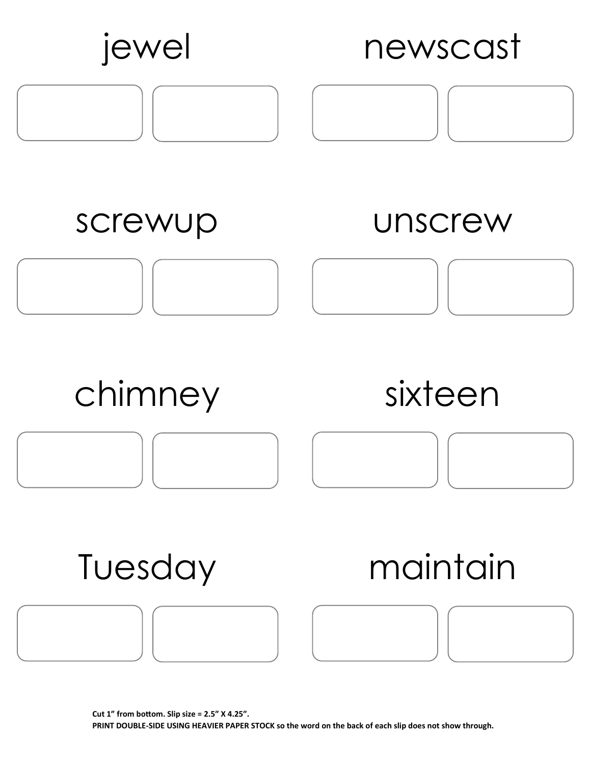